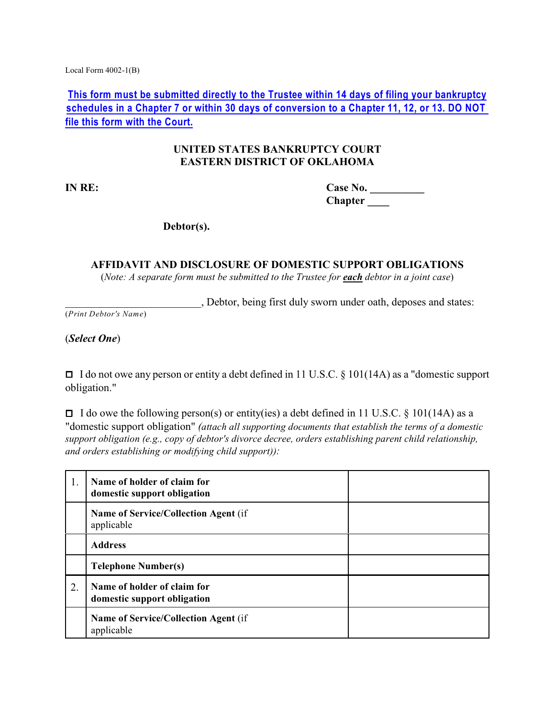Local Form 4002-1(B)

**This form must be submitted directly to the Trustee within 14 days of filing your bankruptcy schedules in a Chapter 7 or within 30 days of conversion to a Chapter 11, 12, or 13. DO NOT file this form with the Court.**

## **UNITED STATES BANKRUPTCY COURT EASTERN DISTRICT OF OKLAHOMA**

**IN RE: Case No. \_\_\_\_\_\_\_\_\_\_ Chapter \_\_\_\_**

**Debtor(s).**

**AFFIDAVIT AND DISCLOSURE OF DOMESTIC SUPPORT OBLIGATIONS** (*Note: A separate form must be submitted to the Trustee for each debtor in a joint case*)

\_\_\_\_\_\_\_\_\_\_\_\_\_\_\_\_\_\_\_\_\_\_\_\_\_, Debtor, being first duly sworn under oath, deposes and states:

(*Print Debtor's Name*)

(*Select One*)

□ I do not owe any person or entity a debt defined in 11 U.S.C. § 101(14A) as a "domestic support obligation."

 $\Box$  I do owe the following person(s) or entity(ies) a debt defined in 11 U.S.C. § 101(14A) as a "domestic support obligation" *(attach all supporting documents that establish the terms of a domestic support obligation (e.g., copy of debtor's divorce decree, orders establishing parent child relationship, and orders establishing or modifying child support)):*

| 1. | Name of holder of claim for<br>domestic support obligation |  |
|----|------------------------------------------------------------|--|
|    | <b>Name of Service/Collection Agent (if)</b><br>applicable |  |
|    | <b>Address</b>                                             |  |
|    | <b>Telephone Number(s)</b>                                 |  |
| 2. | Name of holder of claim for<br>domestic support obligation |  |
|    | <b>Name of Service/Collection Agent (if)</b><br>applicable |  |